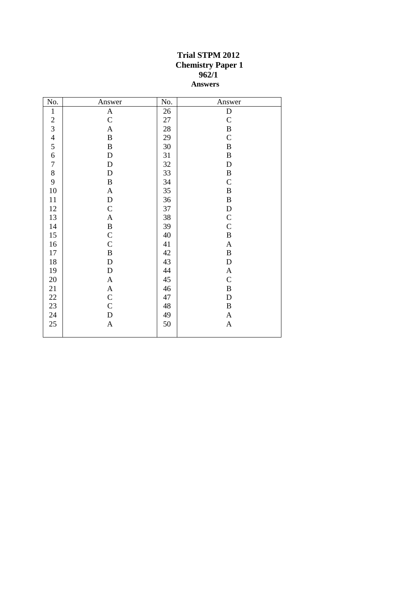## **Trial STPM 2012 Chemistry Paper 1 962/1 Answers**

| No.            | Answer                    | No. | Answer                    |
|----------------|---------------------------|-----|---------------------------|
| $\mathbf 1$    | A                         | 26  | $\mathbf D$               |
| $\frac{2}{3}$  | $\mathbf C$               | 27  | $\mathbf C$               |
|                | $\mathbf A$               | 28  | $\overline{B}$            |
| $\overline{4}$ | $\, {\bf B}$              | 29  | $\overline{C}$            |
| 5              | $\, {\bf B}$              | 30  | $\, {\bf B}$              |
| $\overline{6}$ | ${\bf D}$                 | 31  | $\, {\bf B}$              |
| $\overline{7}$ | ${\bf D}$                 | 32  | D                         |
| 8              | ${\bf D}$                 | 33  | $\, {\bf B}$              |
| 9              | $\, {\bf B}$              | 34  | $\mathbf C$               |
| 10             | $\mathbf A$               | 35  | $\, {\bf B}$              |
| 11             | ${\rm D}$                 | 36  | $\, {\bf B}$              |
| 12             | $\mathsf C$               | 37  | $\mathbf D$               |
| 13             | $\mathbf{A}$              | 38  | $\mathbf C$               |
| 14             | $\, {\bf B}$              | 39  | $\overline{C}$            |
| 15             | $\mathbf C$               | 40  | $\, {\bf B}$              |
| 16             | $\mathbf C$               | 41  | $\boldsymbol{\mathsf{A}}$ |
| 17             | $\, {\bf B}$              | 42  | $\, {\bf B}$              |
| 18             | $\mathbf D$               | 43  | $\mathbf D$               |
| 19             | ${\bf D}$                 | 44  | $\boldsymbol{\mathsf{A}}$ |
| $20\,$         | $\boldsymbol{A}$          | 45  | $\mathbf C$               |
| 21             | $\mathbf A$               | 46  | $\, {\bf B}$              |
| 22             | $\mathbf C$               | 47  | $\mathbf D$               |
| 23             | $\overline{C}$            | 48  | $\, {\bf B}$              |
| 24             | ${\bf D}$                 | 49  | $\boldsymbol{\mathsf{A}}$ |
| 25             | $\boldsymbol{\mathsf{A}}$ | 50  | $\boldsymbol{\mathsf{A}}$ |
|                |                           |     |                           |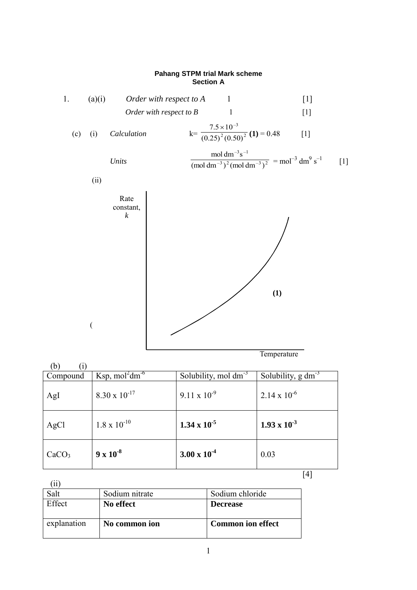## **Pahang STPM trial Mark scheme Section A**



| (b)               |                        |                           |                       |
|-------------------|------------------------|---------------------------|-----------------------|
| Compound          | Ksp, $mol^2dm^{-6}$    | Solubility, mol $dm^{-3}$ | Solubility, $g dm3$   |
| AgI               | $8.30 \times 10^{-17}$ | $9.11 \times 10^{-9}$     | $2.14 \times 10^{-6}$ |
| AgCl              | $1.8 \times 10^{-10}$  | 1.34 x $10^{-5}$          | $1.93 \times 10^{-3}$ |
| CaCO <sub>3</sub> | $9 \times 10^{-8}$     | $3.00 \times 10^{-4}$     | 0.03                  |

 $[4]$ 

(ii) Salt Sodium nitrate Sodium chloride Effect **No effect Decrease** explanation **No common ion Common ion effect**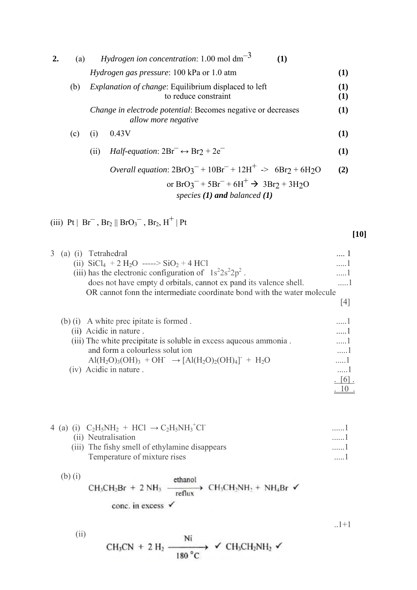| 2. | (a)       |      | <i>Hydrogen ion concentration</i> : 1.00 mol $dm^{-3}$<br>(1)                                                                                                                                                                                                                      |                    |
|----|-----------|------|------------------------------------------------------------------------------------------------------------------------------------------------------------------------------------------------------------------------------------------------------------------------------------|--------------------|
|    |           |      | <i>Hydrogen gas pressure</i> : 100 kPa or 1.0 atm                                                                                                                                                                                                                                  | (1)                |
|    | (b)       |      | Explanation of change: Equilibrium displaced to left<br>to reduce constraint                                                                                                                                                                                                       | (1)<br>(1)         |
|    |           |      | Change in electrode potential: Becomes negative or decreases<br>allow more negative                                                                                                                                                                                                | (1)                |
|    | (c)       | (i)  | 0.43V                                                                                                                                                                                                                                                                              | (1)                |
|    |           | (ii) | <i>Half-equation</i> : $2Br^- \leftrightarrow Br2 + 2e^-$                                                                                                                                                                                                                          | (1)                |
|    |           |      | <i>Overall equation:</i> $2BrO3^{-} + 10Br^{-} + 12H^{+}$ $\rightarrow$ 6Br <sub>2</sub> + 6H <sub>2</sub> O                                                                                                                                                                       | (2)                |
|    |           |      | or $BrO_3^-$ + $5Br^-$ + $6H^+$ $\rightarrow$ $3Br_2$ + $3H_2O$<br>species $(1)$ and balanced $(1)$                                                                                                                                                                                |                    |
|    |           |      | (iii) Pt   Br <sup>-</sup> , Br <sub>2</sub>    BrO <sub>3</sub> <sup>-</sup> , Br <sub>2</sub> , H <sup>+</sup>   Pt                                                                                                                                                              |                    |
|    |           |      |                                                                                                                                                                                                                                                                                    | [10]               |
| 3  |           |      | (a) (i) Tetrahedral<br>(ii) $SiCl_4 + 2 H_2O$ -----> $SiO_2 + 4 HCl$<br>(iii) has the electronic configuration of $1s^22s^22p^2$ .<br>does not have empty d orbitals, cannot ex pand its valence shell.<br>OR cannot fonn the intermediate coordinate bond with the water molecule | 1<br>1<br>1<br>. 1 |
|    |           |      |                                                                                                                                                                                                                                                                                    | $[4]$              |
|    | $(b)$ (i) |      | A white prec ipitate is formed.                                                                                                                                                                                                                                                    | 1                  |

| $(0)$ (1) $\Lambda$ while precipiear is formed.                   |     |
|-------------------------------------------------------------------|-----|
| (ii) Acidic in nature.                                            |     |
| (iii) The white precipitate is soluble in excess aqueous ammonia. | . 1 |
| and form a colourless solut ion                                   | .   |
| $Al(H_2O)_3(OH)_3 + OH^- \rightarrow [Al(H_2O)_2(OH)_4]^- + H_2O$ | . 1 |
| (iv) Acidic in nature.                                            |     |
|                                                                   |     |
|                                                                   |     |
|                                                                   |     |

| 4 (a) (i) $C_2H_5NH_2 + HCl \rightarrow C_2H_5NH_3$ <sup>+</sup> Cl <sup>-</sup> |     |
|----------------------------------------------------------------------------------|-----|
| (ii) Neutralisation                                                              | . 1 |
| (iii) The fishy smell of ethylamine disappears                                   | . 1 |
| Temperature of mixture rises                                                     |     |

 $.1+1$ 

(b) (i)  
\n
$$
CH_3CH_2Br + 2 NH_3 \xrightarrow{\text{ethanol}} CH_3CH_2NH_2 + NH_4Br \checkmark
$$
\n
$$
conc. in excess \checkmark
$$

2 (ii)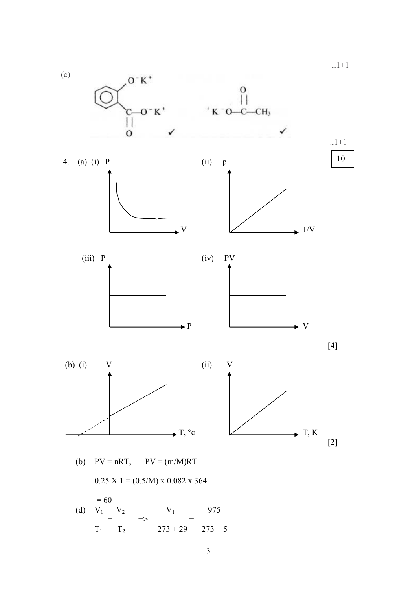$1+1$  (c)  $O-K^+$  $\mathbf{O}$  $-O-K$ <sup>+</sup>  $K$  O-C-CH<sub>3</sub>  $\overline{\mathbf{I}}$  $\overline{O}$ ✓  $1+1$ 104. (a) (i) P (ii) p  $\overline{V}$   $\overline{V}$   $\overline{V}$   $\overline{V}$   $\overline{V}$   $\overline{V}$  (iii) P (iv) PV  $\begin{array}{ccc}\n & P & \n\end{array}$   $\begin{array}{ccc}\n & & \\
& \downarrow\n\end{array}$  V  $[4]$  (b) (i) V (ii) V  $\bullet$  T, °c  $\swarrow$  T, K  $[2]$ (b)  $PV = nRT$ ,  $PV = (m/M)RT$  $0.25$  X 1 =  $(0.5/M)$  x 0.082 x 364  $= 60$ (d)  $V_1$   $V_2$   $V_1$  975

 $T_1$   $T_2$   $\implies$   $T_3 + 29$   $T_3 + 5$  $T_1$   $T_2$  273 + 29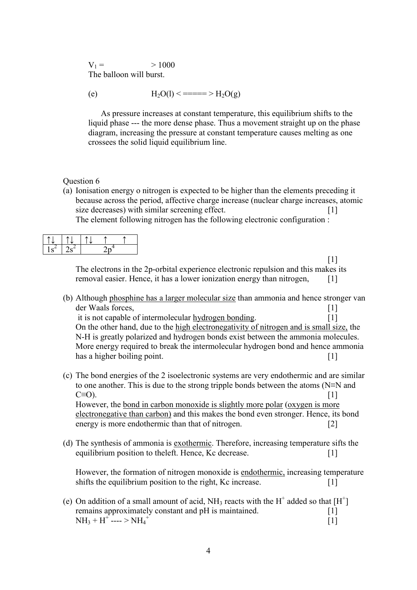$V_1 = 1000$ The balloon will burst.

(e) 
$$
H_2O(l) \le \frac{1}{2}H_2O(g)
$$

 As pressure increases at constant temperature, this equilibrium shifts to the liquid phase --- the more dense phase. Thus a movement straight up on the phase diagram, increasing the pressure at constant temperature causes melting as one crossees the solid liquid equilibrium line.

## Question 6

(a) Ionisation energy o nitrogen is expected to be higher than the elements preceding it because across the period, affective charge increase (nuclear charge increases, atomic size decreases) with similar screening effect. [1] The element following nitrogen has the following electronic configuration :

 $[1]$ The electrons in the 2p-orbital experience electronic repulsion and this makes its removal easier. Hence, it has a lower ionization energy than nitrogen, [1]

(b) Although phosphine has a larger molecular size than ammonia and hence stronger van der Waals forces, [1]

it is not capable of intermolecular hydrogen bonding. [1] On the other hand, due to the high electronegativity of nitrogen and is small size, the N-H is greatly polarized and hydrogen bonds exist between the ammonia molecules. More energy required to break the intermolecular hydrogen bond and hence ammonia has a higher boiling point. [1]

(c) The bond energies of the 2 isoelectronic systems are very endothermic and are similar to one another. This is due to the strong tripple bonds between the atoms (N≡N and  $C \equiv O$ ). [1]

However, the bond in carbon monoxide is slightly more polar (oxygen is more electronegative than carbon) and this makes the bond even stronger. Hence, its bond energy is more endothermic than that of nitrogen. [2]

(d) The synthesis of ammonia is exothermic. Therefore, increasing temperature sifts the equilibrium position to the left. Hence, Kc decrease. [1]

However, the formation of nitrogen monoxide is endothermic, increasing temperature shifts the equilibrium position to the right, Kc increase. [1]

(e) On addition of a small amount of acid,  $NH_3$  reacts with the H<sup>+</sup> added so that [H<sup>+</sup>] remains approximately constant and pH is maintained. [1]  $NH_3 + H^+$ ---- >  $NH_4^+$  $\left[1\right]$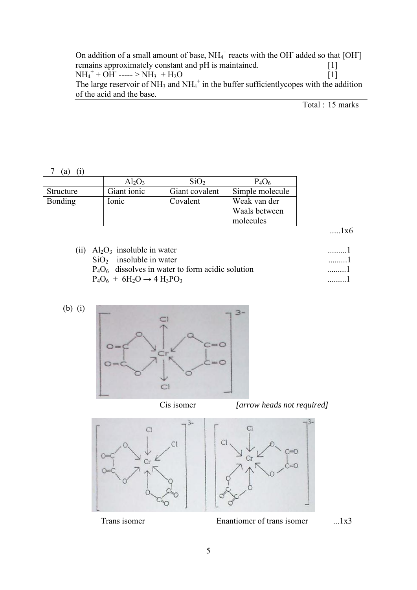On addition of a small amount of base,  $NH_4^+$  reacts with the OH added so that [OH] remains approximately constant and pH is maintained. [1]  $NH_4^+ + OH^ ---\!\!>NH_3 + H_2O$  [1] The large reservoir of  $NH_3$  and  $NH_4^+$  in the buffer sufficientlycopes with the addition of the acid and the base.

Total : 15 marks

7 (a) (i)

|                | $Al_2O_3$   | SiO <sub>2</sub> | $P_4O_6$        |
|----------------|-------------|------------------|-----------------|
| Structure      | Giant ionic | Giant covalent   | Simple molecule |
| <b>Bonding</b> | Ionic       | Covalent         | Weak van der    |
|                |             |                  | Waals between   |
|                |             |                  | molecules       |

.....1x6

| (ii) $Al_2O_3$ insoluble in water                   |     |
|-----------------------------------------------------|-----|
| $SiO2$ insoluble in water                           | . 1 |
| $P_4O_6$ dissolves in water to form acidic solution | . 1 |
| $P_4O_6 + 6H_2O \rightarrow 4H_3PO_3$               |     |









Trans isomer Enantiomer of trans isomer ....1x3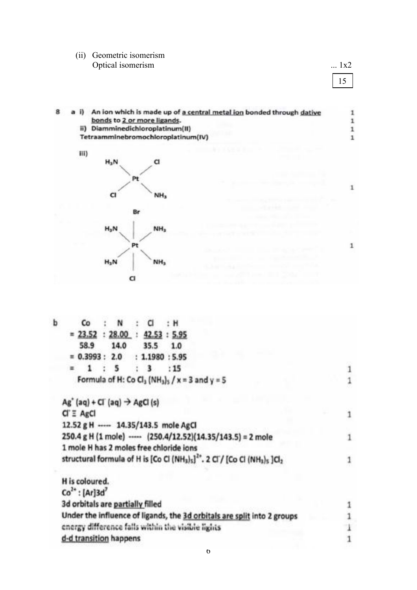## (ii) Geometric isomerism Optical isomerism .... 1x2

15

 $\mathbf 1$ 

 $\mathbf 1$ 

a i) An ion which is made up of a central metal ion bonded through dative 8  $\mathbf{1}$ bonds to 2 or more ligands.  $\mathbf 1$ ii) Diamminedichloroplatinum(II)  $\mathbf 1$ Tetraamminebromochloroplatinum(IV)  $\mathbf 1$ 



| b | Co<br>N<br>a<br>: H                                                                                                                                |  |
|---|----------------------------------------------------------------------------------------------------------------------------------------------------|--|
|   | $= 23.52 : 28.00 :$<br>42.53 : 5.95                                                                                                                |  |
|   | 58.9<br>14.0<br>35.5<br>1.0                                                                                                                        |  |
|   | $= 0.3993 : 2.0$<br>: 1.1980 : 5.95                                                                                                                |  |
|   | 5<br>$\overline{\mathbf{3}}$<br>: 15<br>酉                                                                                                          |  |
|   | Formula of H: Co Cl <sub>3</sub> (NH <sub>3</sub> ) <sub>5</sub> / x = 3 and y = 5                                                                 |  |
|   | $Ag'$ (aq) + Cl (aq) $\rightarrow$ AgCl (s)                                                                                                        |  |
|   | $CI \equiv AgCI$                                                                                                                                   |  |
|   | 12.52 g H ----- 14.35/143.5 mole AgCl                                                                                                              |  |
|   | 250.4 g H (1 mole) ----- (250.4/12.52)(14.35/143.5) = 2 mole                                                                                       |  |
|   | 1 mole H has 2 moles free chloride ions                                                                                                            |  |
|   | structural formula of H is [Co Cl (NH <sub>3</sub> ) <sub>5</sub> ] <sup>2*</sup> . 2 Cl / [Co Cl (NH <sub>3</sub> ) <sub>5</sub> ]Cl <sub>2</sub> |  |
|   | H is coloured.                                                                                                                                     |  |
|   | $Co2+$ : [Ar]3d'                                                                                                                                   |  |
|   | 3d orbitals are partially filled                                                                                                                   |  |
|   | Under the influence of ligands, the 3d orbitals are split into 2 groups                                                                            |  |
|   | energy difference falls within the visible lights                                                                                                  |  |
|   | d-d transition happens                                                                                                                             |  |
|   |                                                                                                                                                    |  |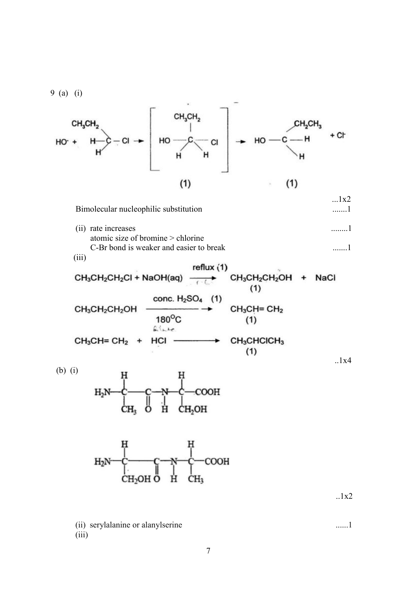9 (a) (i)  
\n
$$
CH_3CH_2
$$
  
\n $HO^+$   
\n $HO^-$   
\n $HO^-$   
\n $HO^-$   
\n $HO^-$   
\n $HO^-$   
\n $HO^-$   
\n $HO^-$   
\n $HO^-$   
\n $HO^-$   
\n $HO^-$   
\n $CO^-$   
\n $HO^-$   
\n $CO^-$   
\n $HO^-$   
\n $CO^-$   
\n $HO^-$   
\n $CO^-$   
\n $HO^-$   
\n $CO^-$   
\n $HO^-$   
\n $CO^-$   
\n $CO^-$   
\n $HO^-$   
\n $CO^-$   
\n $CO^-$   
\n $CO^-$   
\n $CO^-$   
\n $CO^-$   
\n $CO^-$   
\n $CO^-$   
\n $CO^-$   
\n $CO^-$   
\n $CO^-$   
\n $CO^-$   
\n $CO^-$   
\n $CO^-$   
\n $CO^-$   
\n $CO^-$   
\n $CO^-$   
\n $CO^-$   
\n $CO^-$   
\n $CO^-$   
\n $CO^-$   
\n $CO^-$   
\n $CO^-$   
\n $CO^-$   
\n $CO^-$   
\n $CO^-$   
\n $CO^-$   
\n $CO^-$   
\n $CO^-$   
\n $CO^-$   
\n $CO^-$   
\n $CO^-$   
\n $CO^+$   
\n $CO^-$   
\n $CO^-$   
\n $CO^+$   
\n $CO^-$   
\n $CO^+$   
\n $CO^-$   
\n $CO^+$   
\n $CO^-$   
\n $CO^-$   
\n $CO^+$   
\n $CO^+$   
\n $$ 

7

(iii)